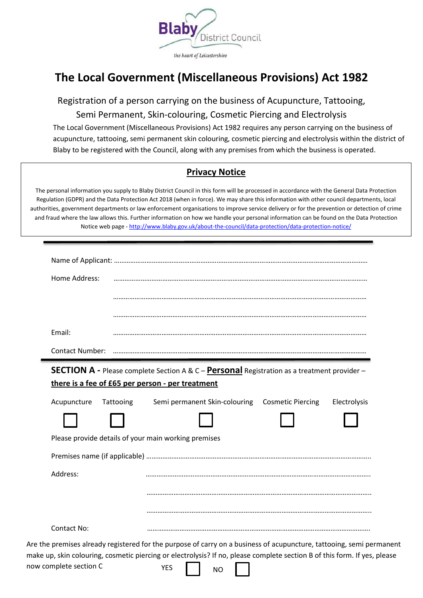

# **The Local Government (Miscellaneous Provisions) Act 1982**

Registration of a person carrying on the business of Acupuncture, Tattooing, Semi Permanent, Skin-colouring, Cosmetic Piercing and Electrolysis

The Local Government (Miscellaneous Provisions) Act 1982 requires any person carrying on the business of acupuncture, tattooing, semi permanent skin colouring, cosmetic piercing and electrolysis within the district of Blaby to be registered with the Council, along with any premises from which the business is operated.

### **Privacy Notice**

The personal information you supply to Blaby District Council in this form will be processed in accordance with the General Data Protection Regulation (GDPR) and the Data Protection Act 2018 (when in force). We may share this information with other council departments, local authorities, government departments or law enforcement organisations to improve service delivery or for the prevention or detection of crime and fraud where the law allows this. Further information on how we handle your personal information can be found on the Data Protection Notice web page - <http://www.blaby.gov.uk/about-the-council/data-protection/data-protection-notice/>

| Home Address:                                        |           |                                                 |              |
|------------------------------------------------------|-----------|-------------------------------------------------|--------------|
|                                                      |           |                                                 |              |
|                                                      |           |                                                 |              |
| Email:                                               |           |                                                 |              |
| <b>Contact Number:</b>                               |           |                                                 |              |
| there is a fee of £65 per person - per treatment     |           |                                                 |              |
| Acupuncture                                          | Tattooing | Semi permanent Skin-colouring Cosmetic Piercing | Electrolysis |
| Please provide details of your main working premises |           |                                                 |              |
|                                                      |           |                                                 |              |
| Address:                                             |           |                                                 |              |
|                                                      |           |                                                 |              |